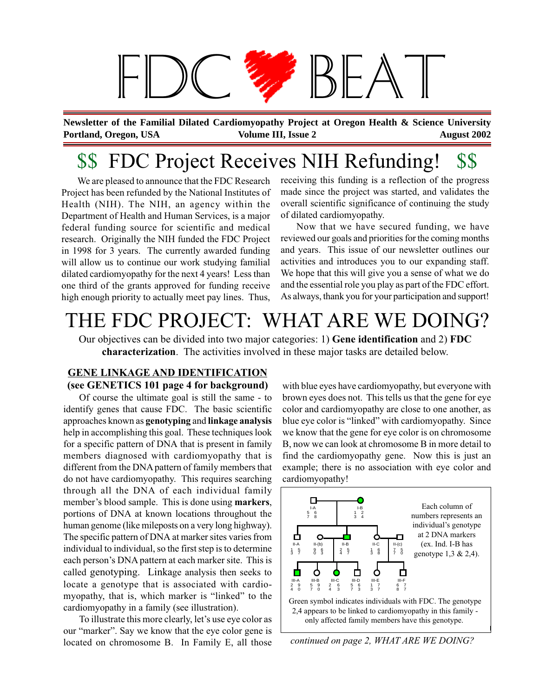

**Portland, Oregon, USA August 2002 Volume III, Issue 2 August 2002 August 2002 Newsletter of the Familial Dilated Cardiomyopathy Project at Oregon Health & Science University**

# \$\$ FDC Project Receives NIH Refunding!

We are pleased to announce that the FDC Research Project has been refunded by the National Institutes of Health (NIH). The NIH, an agency within the Department of Health and Human Services, is a major federal funding source for scientific and medical research. Originally the NIH funded the FDC Project in 1998 for 3 years. The currently awarded funding will allow us to continue our work studying familial dilated cardiomyopathy for the next 4 years! Less than one third of the grants approved for funding receive high enough priority to actually meet pay lines. Thus,

receiving this funding is a reflection of the progress made since the project was started, and validates the overall scientific significance of continuing the study of dilated cardiomyopathy.

Now that we have secured funding, we have reviewed our goals and priorities for the coming months and years. This issue of our newsletter outlines our activities and introduces you to our expanding staff. We hope that this will give you a sense of what we do and the essential role you play as part of the FDC effort. As always, thank you for your participation and support!

## THE FDC PROJECT: WHAT ARE WE DOING?

Our objectives can be divided into two major categories: 1) **Gene identification** and 2) **FDC characterization**. The activities involved in these major tasks are detailed below.

### **GENE LINKAGE AND IDENTIFICATION (see GENETICS 101 page 4 for background)**

Of course the ultimate goal is still the same - to identify genes that cause FDC. The basic scientific approaches known as **genotyping** and **linkage analysis** help in accomplishing this goal. These techniques look for a specific pattern of DNA that is present in family members diagnosed with cardiomyopathy that is different from the DNA pattern of family members that do not have cardiomyopathy. This requires searching through all the DNA of each individual family member's blood sample. This is done using **markers**, portions of DNA at known locations throughout the human genome (like mileposts on a very long highway). The specific pattern of DNA at marker sites varies from individual to individual, so the first step is to determine each person's DNA pattern at each marker site. This is called genotyping. Linkage analysis then seeks to locate a genotype that is associated with cardiomyopathy, that is, which marker is "linked" to the cardiomyopathy in a family (see illustration).

To illustrate this more clearly, let's use eye color as our "marker". Say we know that the eye color gene is located on chromosome B. In Family E, all those

with blue eyes have cardiomyopathy, but everyone with brown eyes does not. This tells us that the gene for eye color and cardiomyopathy are close to one another, as blue eye color is "linked" with cardiomyopathy. Since we know that the gene for eye color is on chromosome B, now we can look at chromosome B in more detail to find the cardiomyopathy gene. Now this is just an example; there is no association with eye color and cardiomyopathy!



*continued on page 2, WHAT ARE WE DOING?*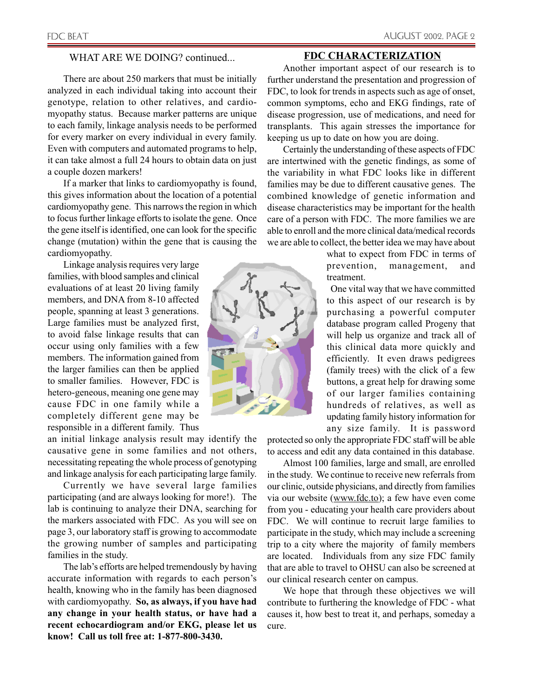#### WHAT ARE WE DOING? continued...

There are about 250 markers that must be initially analyzed in each individual taking into account their genotype, relation to other relatives, and cardiomyopathy status. Because marker patterns are unique to each family, linkage analysis needs to be performed for every marker on every individual in every family. Even with computers and automated programs to help, it can take almost a full 24 hours to obtain data on just a couple dozen markers!

If a marker that links to cardiomyopathy is found, this gives information about the location of a potential cardiomyopathy gene. This narrows the region in which to focus further linkage efforts to isolate the gene. Once the gene itself is identified, one can look for the specific change (mutation) within the gene that is causing the cardiomyopathy.

. occur using only families with a few Linkage analysis requires very large families, with blood samples and clinical evaluations of at least 20 living family members, and DNA from 8-10 affected people, spanning at least 3 generations. Large families must be analyzed first, to avoid false linkage results that can members. The information gained from the larger families can then be applied to smaller families. However, FDC is hetero-geneous, meaning one gene may cause FDC in one family while a completely different gene may be responsible in a different family. Thus

an initial linkage analysis result may identify the causative gene in some families and not others, necessitating repeating the whole process of genotyping and linkage analysis for each participating large family.

Currently we have several large families participating (and are always looking for more!). The lab is continuing to analyze their DNA, searching for the markers associated with FDC. As you will see on page 3, our laboratory staff is growing to accommodate the growing number of samples and participating families in the study.

The lab's efforts are helped tremendously by having accurate information with regards to each person's health, knowing who in the family has been diagnosed with cardiomyopathy. **So, as always, if you have had any change in your health status, or have had a recent echocardiogram and/or EKG, please let us know! Call us toll free at: 1-877-800-3430.**



#### **FDC CHARACTERIZATION**

Another important aspect of our research is to further understand the presentation and progression of FDC, to look for trends in aspects such as age of onset, common symptoms, echo and EKG findings, rate of disease progression, use of medications, and need for transplants. This again stresses the importance for keeping us up to date on how you are doing.

Certainly the understanding of these aspects of FDC are intertwined with the genetic findings, as some of the variability in what FDC looks like in different families may be due to different causative genes. The combined knowledge of genetic information and disease characteristics may be important for the health care of a person with FDC. The more families we are able to enroll and the more clinical data/medical records we are able to collect, the better idea we may have about

> what to expect from FDC in terms of prevention, management, and treatment.

> One vital way that we have committed to this aspect of our research is by purchasing a powerful computer database program called Progeny that will help us organize and track all of this clinical data more quickly and efficiently. It even draws pedigrees (family trees) with the click of a few buttons, a great help for drawing some of our larger families containing hundreds of relatives, as well as updating family history information for any size family. It is password

protected so only the appropriate FDC staff will be able to access and edit any data contained in this database.

Almost 100 families, large and small, are enrolled in the study. We continue to receive new referrals from our clinic, outside physicians, and directly from families via our website (www.fdc.to); a few have even come from you - educating your health care providers about FDC. We will continue to recruit large families to participate in the study, which may include a screening trip to a city where the majority of family members are located. Individuals from any size FDC family that are able to travel to OHSU can also be screened at our clinical research center on campus.

We hope that through these objectives we will contribute to furthering the knowledge of FDC - what causes it, how best to treat it, and perhaps, someday a cure.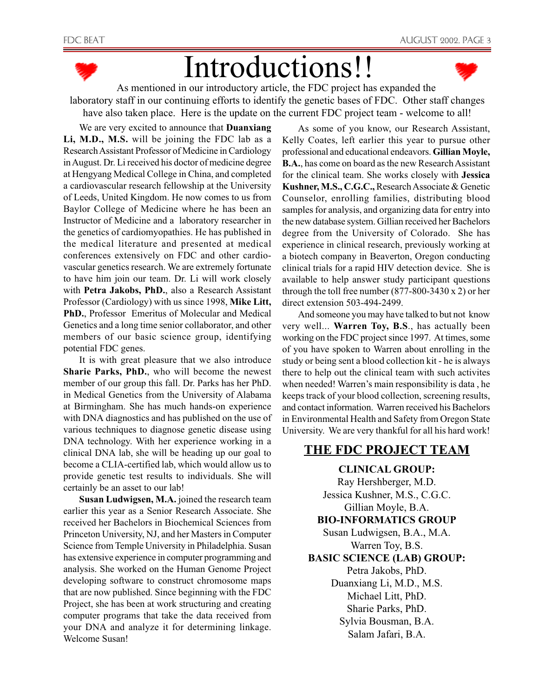

# Introductions!!



As mentioned in our introductory article, the FDC project has expanded the laboratory staff in our continuing efforts to identify the genetic bases of FDC. Other staff changes have also taken place. Here is the update on the current FDC project team - welcome to all!

We are very excited to announce that **Duanxiang**

**Li, M.D., M.S.** will be joining the FDC lab as a Research Assistant Professor of Medicine in Cardiology in August. Dr. Li received his doctor of medicine degree at Hengyang Medical College in China, and completed a cardiovascular research fellowship at the University of Leeds, United Kingdom. He now comes to us from Baylor College of Medicine where he has been an Instructor of Medicine and a laboratory researcher in the genetics of cardiomyopathies. He has published in the medical literature and presented at medical conferences extensively on FDC and other cardiovascular genetics research. We are extremely fortunate to have him join our team. Dr. Li will work closely with **Petra Jakobs, PhD.**, also a Research Assistant Professor (Cardiology) with us since 1998, **Mike Litt, PhD.**, Professor Emeritus of Molecular and Medical Genetics and a long time senior collaborator, and other members of our basic science group, identifying potential FDC genes.

It is with great pleasure that we also introduce **Sharie Parks, PhD.**, who will become the newest member of our group this fall. Dr. Parks has her PhD. in Medical Genetics from the University of Alabama at Birmingham. She has much hands-on experience with DNA diagnostics and has published on the use of various techniques to diagnose genetic disease using DNA technology. With her experience working in a clinical DNA lab, she will be heading up our goal to become a CLIA-certified lab, which would allow us to provide genetic test results to individuals. She will certainly be an asset to our lab!

**Susan Ludwigsen, M.A.** joined the research team earlier this year as a Senior Research Associate. She received her Bachelors in Biochemical Sciences from Princeton University, NJ, and her Masters in Computer Science from Temple University in Philadelphia. Susan has extensive experience in computer programming and analysis. She worked on the Human Genome Project developing software to construct chromosome maps that are now published. Since beginning with the FDC Project, she has been at work structuring and creating computer programs that take the data received from your DNA and analyze it for determining linkage. Welcome Susan!

As some of you know, our Research Assistant, Kelly Coates, left earlier this year to pursue other professional and educational endeavors. **Gillian Moyle, B.A.**, has come on board as the new Research Assistant for the clinical team. She works closely with **Jessica Kushner, M.S., C.G.C.,** Research Associate & Genetic Counselor, enrolling families, distributing blood samples for analysis, and organizing data for entry into the new database system. Gillian received her Bachelors degree from the University of Colorado. She has experience in clinical research, previously working at a biotech company in Beaverton, Oregon conducting clinical trials for a rapid HIV detection device. She is available to help answer study participant questions through the toll free number  $(877-800-3430 \times 2)$  or her direct extension 503-494-2499.

And someone you may have talked to but not know very well... **Warren Toy, B.S**., has actually been working on the FDC project since 1997. At times, some of you have spoken to Warren about enrolling in the study or being sent a blood collection kit - he is always there to help out the clinical team with such activites when needed! Warren's main responsibility is data , he keeps track of your blood collection, screening results, and contact information. Warren received his Bachelors in Environmental Health and Safety from Oregon State University. We are very thankful for all his hard work!

## **THE FDC PROJECT TEAM**

**CLINICAL GROUP:** Ray Hershberger, M.D. Jessica Kushner, M.S., C.G.C. Gillian Moyle, B.A. **BIO-INFORMATICS GROUP** Susan Ludwigsen, B.A., M.A. Warren Toy, B.S. **BASIC SCIENCE (LAB) GROUP:** Petra Jakobs, PhD. Duanxiang Li, M.D., M.S. Michael Litt, PhD. Sharie Parks, PhD. Sylvia Bousman, B.A. Salam Jafari, B.A.